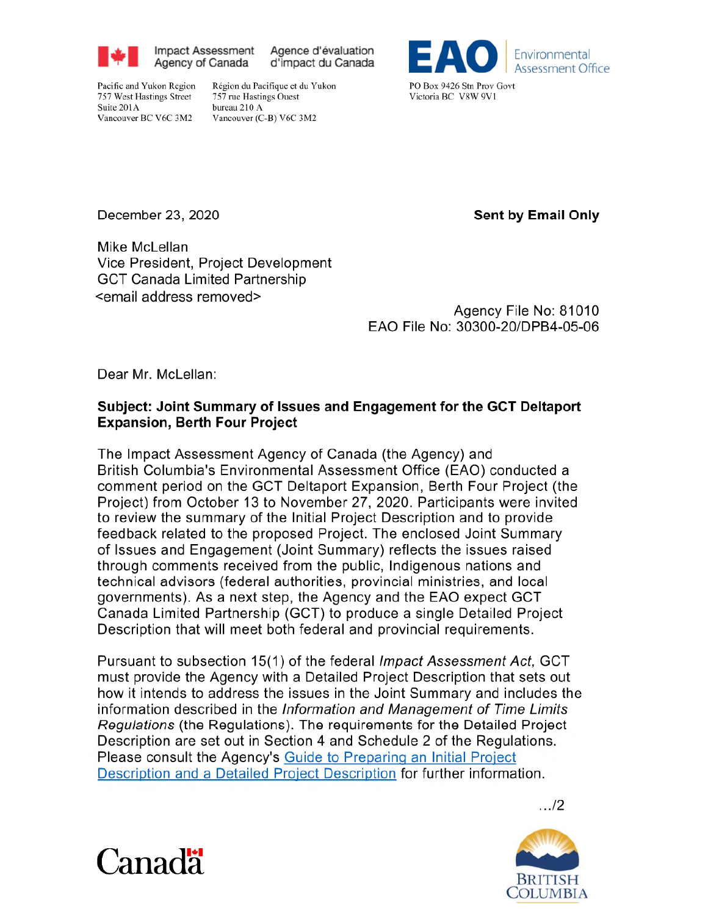

**Impact Assessment** Agence d'évaluation Agency of Canada d'impact du Canada

Pacific and Yukon Region 757 West Hastings Street Suite 201A

Région du Pacifique et du Yukon 757 rue Hastings Ouest bureau 210 A Vancouver (C-B) V6C 3M2



Victoria BC V8W 9V1

December 23, 2020

Vancouver BC V6C 3M2

**Sent by Email Only** 

Mike McLellan Vice President, Project Development **GCT Canada Limited Partnership** <email address removed>

Agency File No: 81010 EAO File No: 30300-20/DPB4-05-06

Dear Mr. McLellan:

### Subject: Joint Summary of Issues and Engagement for the GCT Deltaport **Expansion, Berth Four Project**

The Impact Assessment Agency of Canada (the Agency) and British Columbia's Environmental Assessment Office (EAO) conducted a comment period on the GCT Deltaport Expansion, Berth Four Project (the Project) from October 13 to November 27, 2020. Participants were invited to review the summary of the Initial Project Description and to provide feedback related to the proposed Project. The enclosed Joint Summary of Issues and Engagement (Joint Summary) reflects the issues raised through comments received from the public, Indigenous nations and technical advisors (federal authorities, provincial ministries, and local governments). As a next step, the Agency and the EAO expect GCT Canada Limited Partnership (GCT) to produce a single Detailed Project Description that will meet both federal and provincial requirements.

Pursuant to subsection 15(1) of the federal Impact Assessment Act, GCT must provide the Agency with a Detailed Project Description that sets out how it intends to address the issues in the Joint Summary and includes the information described in the Information and Management of Time Limits Regulations (the Regulations). The requirements for the Detailed Project Description are set out in Section 4 and Schedule 2 of the Regulations. Please consult the Agency's Guide to Preparing an Initial Project Description and a Detailed Project Description for further information.





. . . /2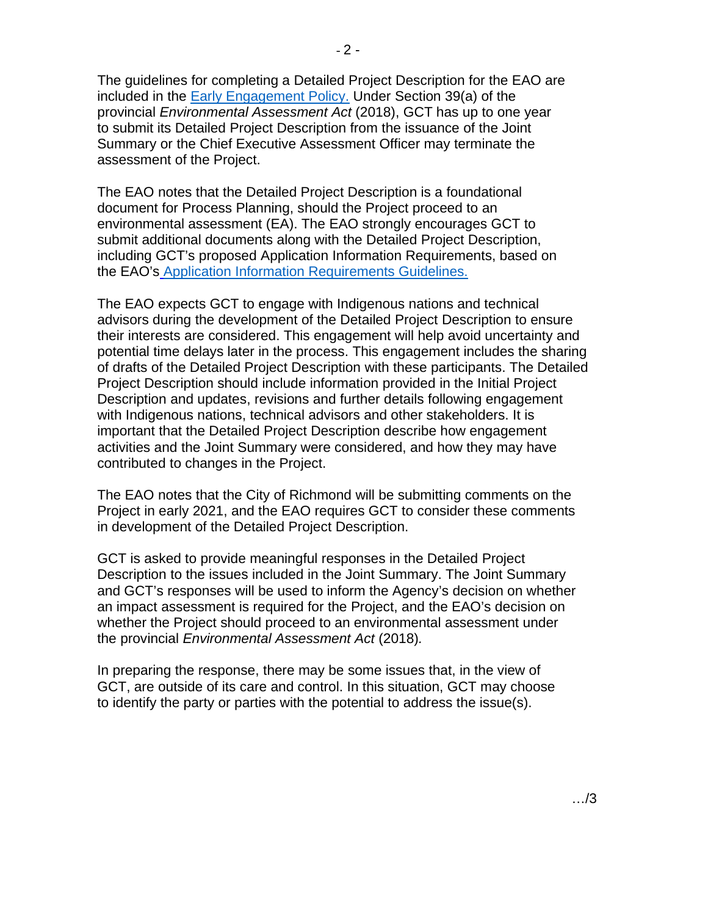The guidelines for completing a Detailed Project Description for the EAO are included in the Early Engagement Policy. Under Section 39(a) of the provincial *Environmental Assessment Act* (2018), GCT has up to one year to submit its Detailed Project Description from the issuance of the Joint Summary or the Chief Executive Assessment Officer may terminate the assessment of the Project.

The EAO notes that the Detailed Project Description is a foundational document for Process Planning, should the Project proceed to an environmental assessment (EA). The EAO strongly encourages GCT to submit additional documents along with the Detailed Project Description, including GCT's proposed Application Information Requirements, based on the EAO's Application Information Requirements Guidelines.

The EAO expects GCT to engage with Indigenous nations and technical advisors during the development of the Detailed Project Description to ensure their interests are considered. This engagement will help avoid uncertainty and potential time delays later in the process. This engagement includes the sharing of drafts of the Detailed Project Description with these participants. The Detailed Project Description should include information provided in the Initial Project Description and updates, revisions and further details following engagement with Indigenous nations, technical advisors and other stakeholders. It is important that the Detailed Project Description describe how engagement activities and the Joint Summary were considered, and how they may have contributed to changes in the Project.

The EAO notes that the City of Richmond will be submitting comments on the Project in early 2021, and the EAO requires GCT to consider these comments in development of the Detailed Project Description.

GCT is asked to provide meaningful responses in the Detailed Project Description to the issues included in the Joint Summary. The Joint Summary and GCT's responses will be used to inform the Agency's decision on whether an impact assessment is required for the Project, and the EAO's decision on whether the Project should proceed to an environmental assessment under the provincial *Environmental Assessment Act* (2018)*.*

In preparing the response, there may be some issues that, in the view of GCT, are outside of its care and control. In this situation, GCT may choose to identify the party or parties with the potential to address the issue(s).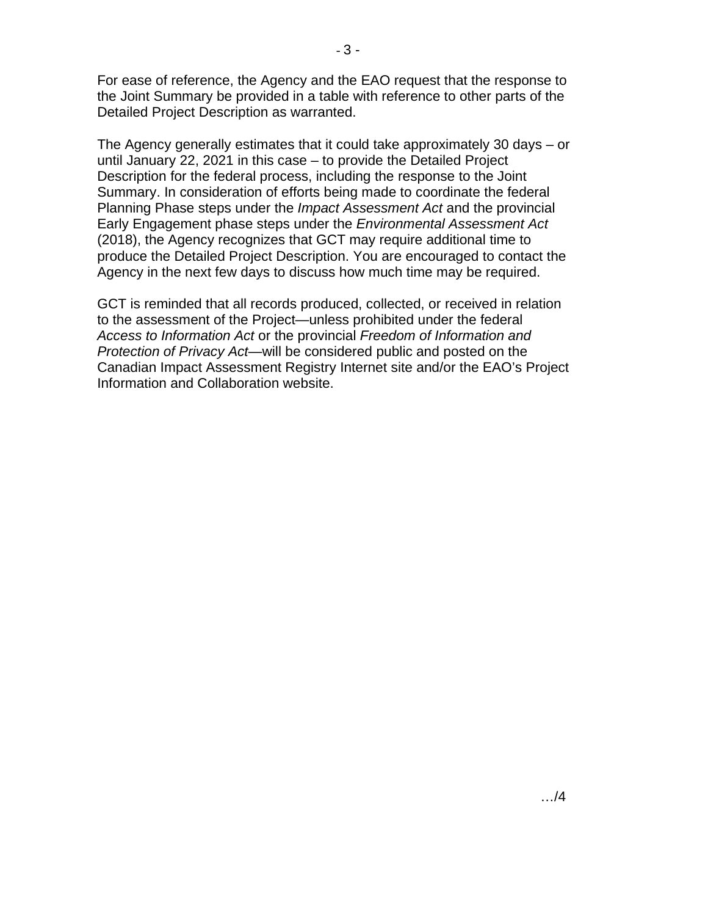For ease of reference, the Agency and the EAO request that the response to the Joint Summary be provided in a table with reference to other parts of the Detailed Project Description as warranted.

The Agency generally estimates that it could take approximately 30 days – or until January 22, 2021 in this case – to provide the Detailed Project Description for the federal process, including the response to the Joint Summary. In consideration of efforts being made to coordinate the federal Planning Phase steps under the *Impact Assessment Act* and the provincial Early Engagement phase steps under the *Environmental Assessment Act*  (2018), the Agency recognizes that GCT may require additional time to produce the Detailed Project Description. You are encouraged to contact the Agency in the next few days to discuss how much time may be required.

GCT is reminded that all records produced, collected, or received in relation to the assessment of the Project—unless prohibited under the federal *Access to Information Act* or the provincial *Freedom of Information and Protection of Privacy Act*—will be considered public and posted on the Canadian Impact Assessment Registry Internet site and/or the EAO's Project Information and Collaboration website.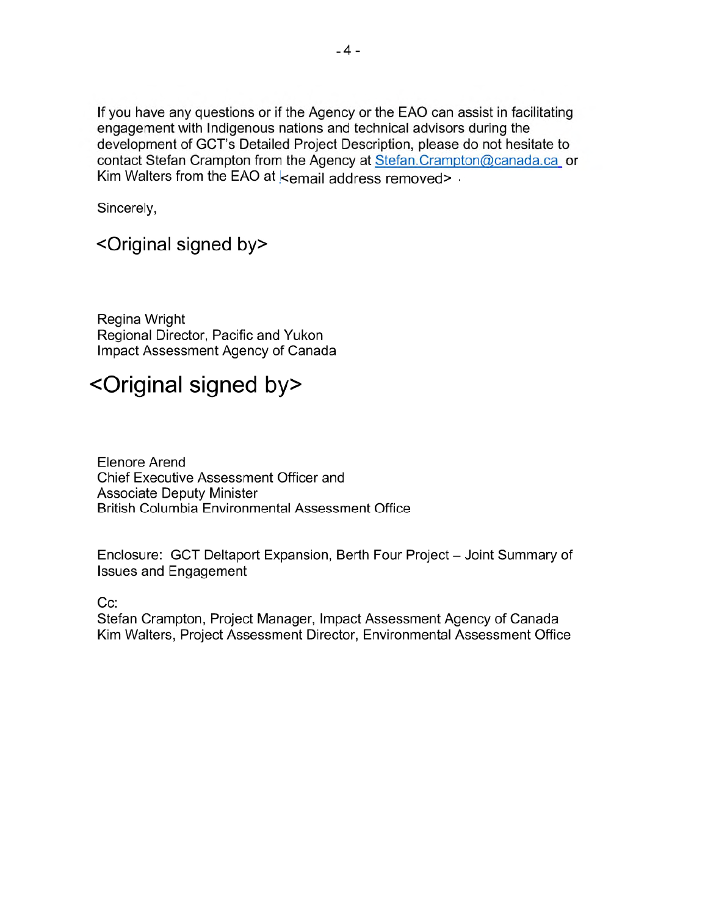If you have any questions or if the Agency or the EAO can assist in facilitating engagement with Indigenous nations and technical advisors during the development of GCT's Detailed Project Description, please do not hesitate to contact Stefan Crampton from the Agency at Stefan.Crampton@canada.ca or Kim Walters from the EAO at cemail address removed>.

Sincerely,

## <Original signed by>

Regina Wright Regional Director, Pacific and Yukon Impact Assessment Agency of Canada

# <Original signed by>

**Elenore Arend** Chief Executive Assessment Officer and **Associate Deputy Minister British Columbia Environmental Assessment Office** 

Enclosure: GCT Deltaport Expansion, Berth Four Project - Joint Summary of **Issues and Engagement** 

 $Cc$ :

Stefan Crampton, Project Manager, Impact Assessment Agency of Canada Kim Walters, Project Assessment Director, Environmental Assessment Office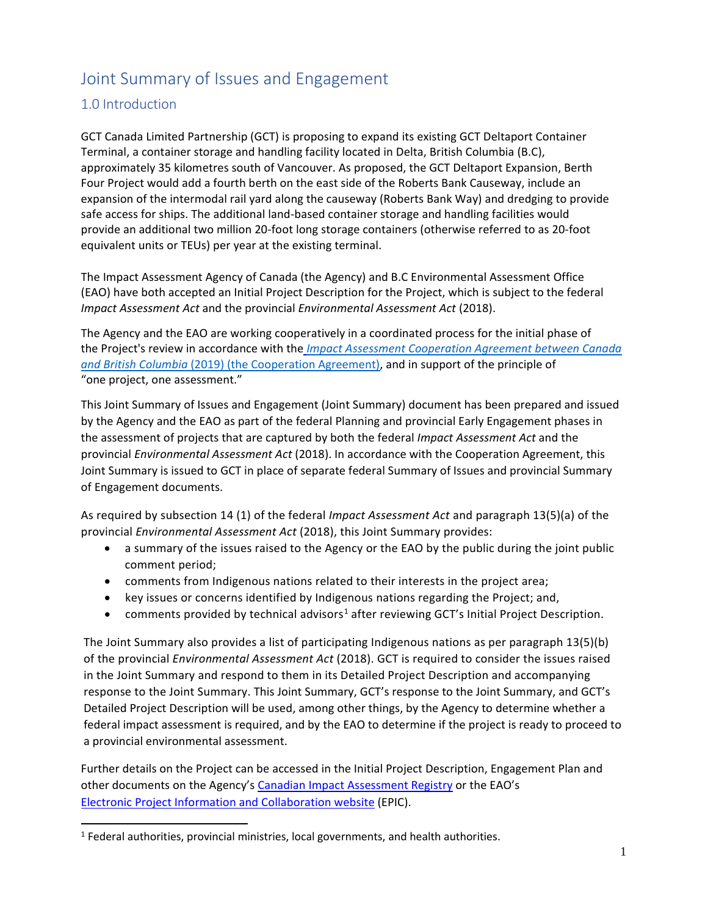## Joint Summary of Issues and Engagement

## 1.0 Introduction

GCT Canada Limited Partnership (GCT) is proposing to expand its existing GCT Deltaport Container Terminal, a container storage and handling facility located in Delta, British Columbia (B.C), approximately 35 kilometres south of Vancouver. As proposed, the GCT Deltaport Expansion, Berth Four Project would add a fourth berth on the east side of the Roberts Bank Causeway, include an expansion of the intermodal rail yard along the causeway (Roberts Bank Way) and dredging to provide safe access for ships. The additional land-based container storage and handling facilities would provide an additional two million 20-foot long storage containers (otherwise referred to as 20-foot equivalent units or TEUs) per year at the existing terminal.

The Impact Assessment Agency of Canada (the Agency) and B.C Environmental Assessment Office (EAO) have both accepted an Initial Project Description for the Project, which is subject to the federal Impact Assessment Act and the provincial Environmental Assessment Act (2018).

The Agency and the EAO are working cooperatively in a coordinated process for the initial phase of the Project's review in accordance with the *Impact Assessment Cooperation Agreement between Canada* and British Columbia (2019) (the Cooperation Agreement), and in support of the principle of "one project, one assessment."

This Joint Summary of Issues and Engagement (Joint Summary) document has been prepared and issued by the Agency and the EAO as part of the federal Planning and provincial Early Engagement phases in the assessment of projects that are captured by both the federal Impact Assessment Act and the provincial Environmental Assessment Act (2018). In accordance with the Cooperation Agreement, this Joint Summary is issued to GCT in place of separate federal Summary of Issues and provincial Summary of Engagement documents.

As required by subsection 14 (1) of the federal Impact Assessment Act and paragraph 13(5)(a) of the provincial Environmental Assessment Act (2018), this Joint Summary provides:

- ù a summary of the issues raised to the Agency or the EAO by the public during the joint public comment period;
- ù comments from Indigenous nations related to their interests in the project area;
- ù key issues or concerns identified by Indigenous nations regarding the Project; and,
- comments provided by technical advisors<sup>1</sup> after reviewing GCT's Initial Project Description.

The Joint Summary also provides a list of participating Indigenous nations as per paragraph 13(5)(b) of the provincial Environmental Assessment Act (2018). GCT is required to consider the issues raised in the Joint Summary and respond to them in its Detailed Project Description and accompanying response to the Joint Summary. This Joint Summary, GCT's response to the Joint Summary, and GCT's Detailed Project Description will be used, among other things, by the Agency to determine whether a federal impact assessment is required, and by the EAO to determine if the project is ready to proceed to a provincial environmental assessment.

Further details on the Project can be accessed in the Initial Project Description, Engagement Plan and other documents on the Agency's Canadian Impact Assessment Registry or the EAO's Electronic Project Information and Collaboration website (EPIC).

 $<sup>1</sup>$  Federal authorities, provincial ministries, local governments, and health authorities.</sup>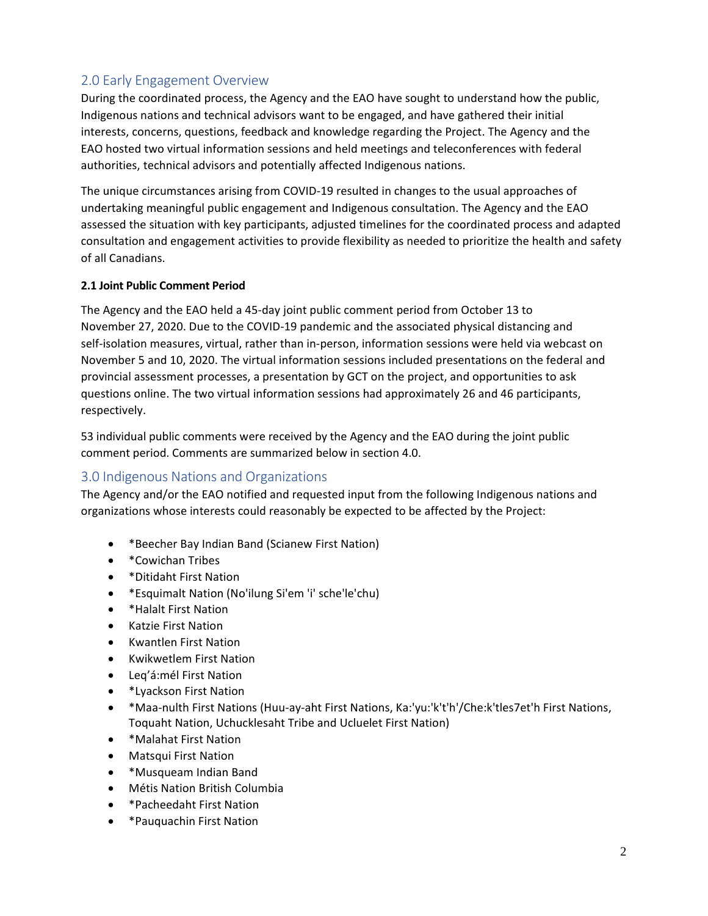## 2.0 Early Engagement Overview

During the coordinated process, the Agency and the EAO have sought to understand how the public, Indigenous nations and technical advisors want to be engaged, and have gathered their initial interests, concerns, questions, feedback and knowledge regarding the Project. The Agency and the EAO hosted two virtual information sessions and held meetings and teleconferences with federal authorities, technical advisors and potentially affected Indigenous nations.

The unique circumstances arising from COVID-19 resulted in changes to the usual approaches of undertaking meaningful public engagement and Indigenous consultation. The Agency and the EAO assessed the situation with key participants, adjusted timelines for the coordinated process and adapted consultation and engagement activities to provide flexibility as needed to prioritize the health and safety of all Canadians.

#### 2.1 Joint Public Comment Period

The Agency and the EAO held a 45-day joint public comment period from October 13 to November 27, 2020. Due to the COVID-19 pandemic and the associated physical distancing and self-isolation measures, virtual, rather than in-person, information sessions were held via webcast on November 5 and 10, 2020. The virtual information sessions included presentations on the federal and provincial assessment processes, a presentation by GCT on the project, and opportunities to ask questions online. The two virtual information sessions had approximately 26 and 46 participants, respectively.

53 individual public comments were received by the Agency and the EAO during the joint public comment period. Comments are summarized below in section 4.0.

### 3.0 Indigenous Nations and Organizations

The Agency and/or the EAO notified and requested input from the following Indigenous nations and organizations whose interests could reasonably be expected to be affected by the Project:

- \*Beecher Bay Indian Band (Scianew First Nation)  $\bullet$
- \*Cowichan Tribes
- \*Ditidaht First Nation
- \*Esquimalt Nation (No'ilung Si'em 'i' sche'le'chu)
- \*Halalt First Nation
- **Katzie First Nation**
- **Kwantlen First Nation**  $\bullet$
- **Kwikwetlem First Nation**  $\bullet$
- Leg'á:mél First Nation
- \*Lyackson First Nation  $\bullet$
- \*Maa-nulth First Nations (Huu-ay-aht First Nations, Ka:'yu:'k't'h'/Che:k'tles7et'h First Nations,  $\bullet$ Toquaht Nation, Uchucklesaht Tribe and Ucluelet First Nation)
- \*Malahat First Nation
- Matsqui First Nation
- \*Musqueam Indian Band
- · Métis Nation British Columbia
- \*Pacheedaht First Nation
- \*Pauquachin First Nation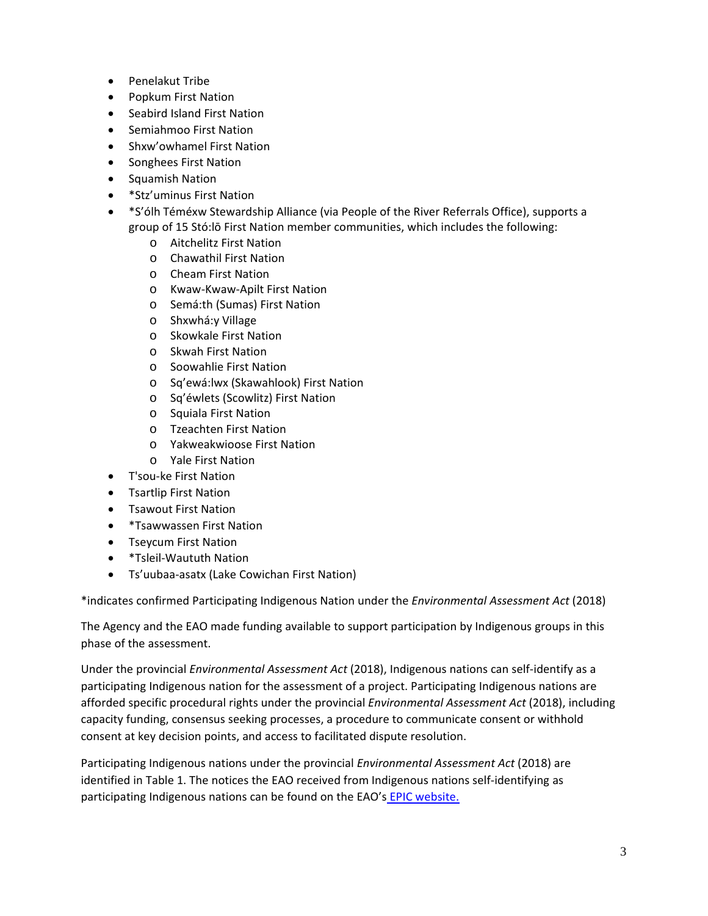- $\bullet$ **Penelakut Tribe**
- **Popkum First Nation**
- Seabird Island First Nation  $\bullet$
- Semiahmoo First Nation  $\bullet$
- Shxw'owhamel First Nation
- Songhees First Nation  $\bullet$
- Squamish Nation
- \*Stz'uminus First Nation
- \*S'ólh Téméxw Stewardship Alliance (via People of the River Referrals Office), supports a group of 15 Stó:lō First Nation member communities, which includes the following:
	- o Aitchelitz First Nation
	- o Chawathil First Nation
	- o Cheam First Nation
	- o Kwaw-Kwaw-Apilt First Nation
	- Semá:th (Sumas) First Nation  $\Omega$
	- o Shxwhá: y Village
	- **Skowkale First Nation**  $\Omega$
	- o Skwah First Nation
	- o Soowahlie First Nation
	- o Sq'ewá: lwx (Skawahlook) First Nation
	- o Sq'éwlets (Scowlitz) First Nation
	- o Squiala First Nation
	- o Tzeachten First Nation
	- o Yakweakwioose First Nation
	- o Yale First Nation
- T'sou-ke First Nation
- Tsartlip First Nation
- Tsawout First Nation
- *\**Tsawwassen First Nation  $\bullet$
- Tseycum First Nation
- \*Tsleil-Waututh Nation
- Ts'uubaa-asatx (Lake Cowichan First Nation)

\*indicates confirmed Participating Indigenous Nation under the Environmental Assessment Act (2018)

The Agency and the EAO made funding available to support participation by Indigenous groups in this phase of the assessment.

Under the provincial *Environmental Assessment Act* (2018), Indigenous nations can self-identify as a participating Indigenous nation for the assessment of a project. Participating Indigenous nations are afforded specific procedural rights under the provincial Environmental Assessment Act (2018), including capacity funding, consensus seeking processes, a procedure to communicate consent or withhold consent at key decision points, and access to facilitated dispute resolution.

Participating Indigenous nations under the provincial Environmental Assessment Act (2018) are identified in Table 1. The notices the EAO received from Indigenous nations self-identifying as participating Indigenous nations can be found on the EAO's EPIC website.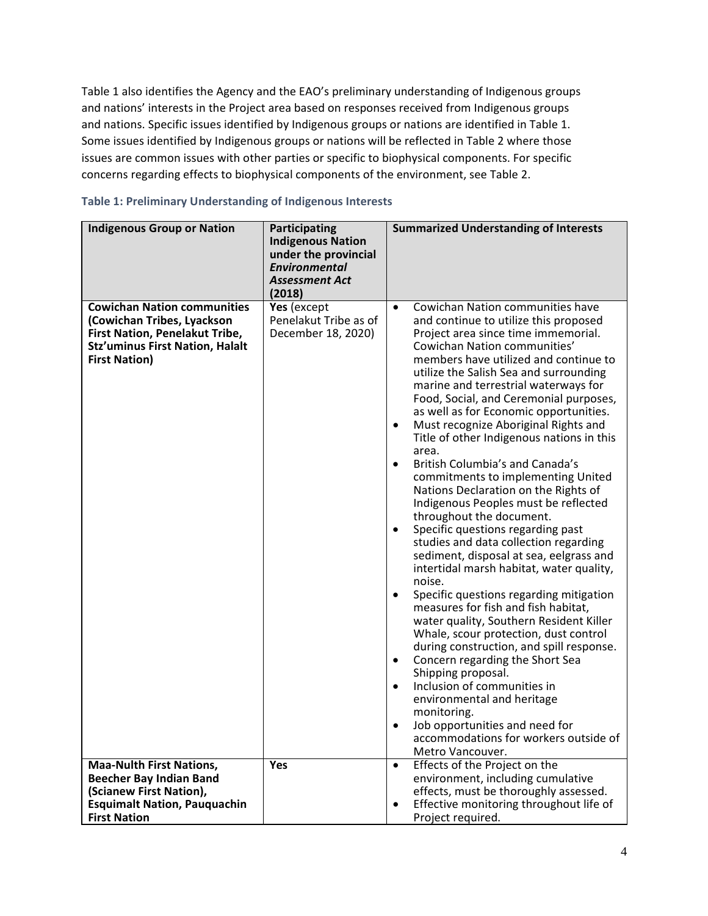Table 1 also identifies the Agency and the EAO's preliminary understanding of Indigenous groups and nations' interests in the Project area based on responses received from Indigenous groups and nations. Specific issues identified by Indigenous groups or nations are identified in Table 1. Some issues identified by Indigenous groups or nations will be reflected in Table 2 where those issues are common issues with other parties or specific to biophysical components. For specific concerns regarding effects to biophysical components of the environment, see Table 2.

| <b>Indigenous Group or Nation</b>                                                                                                                                    | <b>Participating</b><br><b>Indigenous Nation</b><br>under the provincial<br><b>Environmental</b><br><b>Assessment Act</b><br>(2018) | <b>Summarized Understanding of Interests</b>                                                                                                                                                                                                                                                                                                                                                                                                                                                                                                                                                                                                                                                                                                                                                                                                                                                                                                                                                                                                                                                                                                                                                                                                                                                                                                                |
|----------------------------------------------------------------------------------------------------------------------------------------------------------------------|-------------------------------------------------------------------------------------------------------------------------------------|-------------------------------------------------------------------------------------------------------------------------------------------------------------------------------------------------------------------------------------------------------------------------------------------------------------------------------------------------------------------------------------------------------------------------------------------------------------------------------------------------------------------------------------------------------------------------------------------------------------------------------------------------------------------------------------------------------------------------------------------------------------------------------------------------------------------------------------------------------------------------------------------------------------------------------------------------------------------------------------------------------------------------------------------------------------------------------------------------------------------------------------------------------------------------------------------------------------------------------------------------------------------------------------------------------------------------------------------------------------|
| <b>Cowichan Nation communities</b><br>(Cowichan Tribes, Lyackson<br>First Nation, Penelakut Tribe,<br><b>Stz'uminus First Nation, Halalt</b><br><b>First Nation)</b> | Yes (except<br>Penelakut Tribe as of<br>December 18, 2020)                                                                          | Cowichan Nation communities have<br>$\bullet$<br>and continue to utilize this proposed<br>Project area since time immemorial.<br>Cowichan Nation communities'<br>members have utilized and continue to<br>utilize the Salish Sea and surrounding<br>marine and terrestrial waterways for<br>Food, Social, and Ceremonial purposes,<br>as well as for Economic opportunities.<br>Must recognize Aboriginal Rights and<br>$\bullet$<br>Title of other Indigenous nations in this<br>area.<br>British Columbia's and Canada's<br>$\bullet$<br>commitments to implementing United<br>Nations Declaration on the Rights of<br>Indigenous Peoples must be reflected<br>throughout the document.<br>Specific questions regarding past<br>$\bullet$<br>studies and data collection regarding<br>sediment, disposal at sea, eelgrass and<br>intertidal marsh habitat, water quality,<br>noise.<br>Specific questions regarding mitigation<br>$\bullet$<br>measures for fish and fish habitat,<br>water quality, Southern Resident Killer<br>Whale, scour protection, dust control<br>during construction, and spill response.<br>Concern regarding the Short Sea<br>٠<br>Shipping proposal.<br>Inclusion of communities in<br>$\bullet$<br>environmental and heritage<br>monitoring.<br>Job opportunities and need for<br>٠<br>accommodations for workers outside of |
| <b>Maa-Nulth First Nations,</b><br><b>Beecher Bay Indian Band</b>                                                                                                    | Yes                                                                                                                                 | Metro Vancouver.<br>Effects of the Project on the<br>$\bullet$<br>environment, including cumulative                                                                                                                                                                                                                                                                                                                                                                                                                                                                                                                                                                                                                                                                                                                                                                                                                                                                                                                                                                                                                                                                                                                                                                                                                                                         |
|                                                                                                                                                                      |                                                                                                                                     |                                                                                                                                                                                                                                                                                                                                                                                                                                                                                                                                                                                                                                                                                                                                                                                                                                                                                                                                                                                                                                                                                                                                                                                                                                                                                                                                                             |
| (Scianew First Nation),                                                                                                                                              |                                                                                                                                     | effects, must be thoroughly assessed.                                                                                                                                                                                                                                                                                                                                                                                                                                                                                                                                                                                                                                                                                                                                                                                                                                                                                                                                                                                                                                                                                                                                                                                                                                                                                                                       |
| <b>Esquimalt Nation, Pauquachin</b>                                                                                                                                  |                                                                                                                                     | Effective monitoring throughout life of                                                                                                                                                                                                                                                                                                                                                                                                                                                                                                                                                                                                                                                                                                                                                                                                                                                                                                                                                                                                                                                                                                                                                                                                                                                                                                                     |
| <b>First Nation</b>                                                                                                                                                  |                                                                                                                                     | Project required.                                                                                                                                                                                                                                                                                                                                                                                                                                                                                                                                                                                                                                                                                                                                                                                                                                                                                                                                                                                                                                                                                                                                                                                                                                                                                                                                           |

#### Table 1: Preliminary Understanding of Indigenous Interests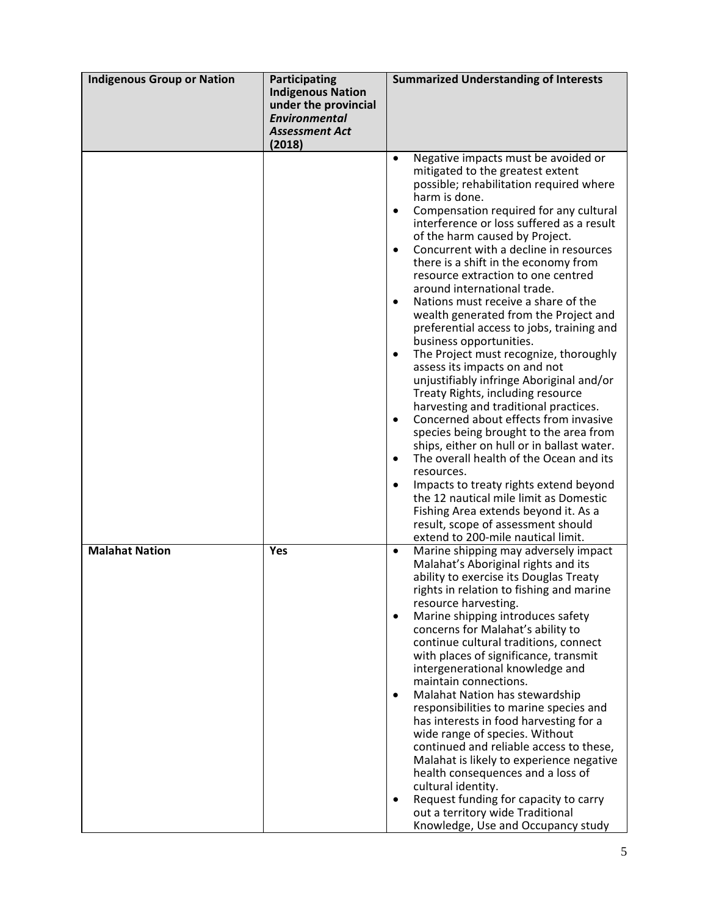| <b>Indigenous Group or Nation</b> | <b>Participating</b><br><b>Indigenous Nation</b><br>under the provincial<br><b>Environmental</b><br><b>Assessment Act</b><br>(2018) | <b>Summarized Understanding of Interests</b>                                                                                                                                                                                                                                                                                                                                                                                                                                                                                                                                                                                                                                                                                                                                                                                                                                                                                                                                                                                                                                                                                                                                        |
|-----------------------------------|-------------------------------------------------------------------------------------------------------------------------------------|-------------------------------------------------------------------------------------------------------------------------------------------------------------------------------------------------------------------------------------------------------------------------------------------------------------------------------------------------------------------------------------------------------------------------------------------------------------------------------------------------------------------------------------------------------------------------------------------------------------------------------------------------------------------------------------------------------------------------------------------------------------------------------------------------------------------------------------------------------------------------------------------------------------------------------------------------------------------------------------------------------------------------------------------------------------------------------------------------------------------------------------------------------------------------------------|
|                                   |                                                                                                                                     | Negative impacts must be avoided or<br>$\bullet$<br>mitigated to the greatest extent<br>possible; rehabilitation required where<br>harm is done.<br>Compensation required for any cultural<br>interference or loss suffered as a result<br>of the harm caused by Project.<br>Concurrent with a decline in resources<br>there is a shift in the economy from<br>resource extraction to one centred<br>around international trade.<br>Nations must receive a share of the<br>$\bullet$<br>wealth generated from the Project and<br>preferential access to jobs, training and<br>business opportunities.<br>The Project must recognize, thoroughly<br>assess its impacts on and not<br>unjustifiably infringe Aboriginal and/or<br>Treaty Rights, including resource<br>harvesting and traditional practices.<br>Concerned about effects from invasive<br>$\bullet$<br>species being brought to the area from<br>ships, either on hull or in ballast water.<br>The overall health of the Ocean and its<br>resources.<br>Impacts to treaty rights extend beyond<br>the 12 nautical mile limit as Domestic<br>Fishing Area extends beyond it. As a<br>result, scope of assessment should |
| <b>Malahat Nation</b>             | Yes                                                                                                                                 | extend to 200-mile nautical limit.<br>Marine shipping may adversely impact<br>$\bullet$<br>Malahat's Aboriginal rights and its<br>ability to exercise its Douglas Treaty<br>rights in relation to fishing and marine<br>resource harvesting.<br>Marine shipping introduces safety<br>$\bullet$<br>concerns for Malahat's ability to<br>continue cultural traditions, connect<br>with places of significance, transmit<br>intergenerational knowledge and<br>maintain connections.<br>Malahat Nation has stewardship<br>$\bullet$<br>responsibilities to marine species and<br>has interests in food harvesting for a<br>wide range of species. Without<br>continued and reliable access to these,<br>Malahat is likely to experience negative<br>health consequences and a loss of<br>cultural identity.<br>Request funding for capacity to carry<br>out a territory wide Traditional<br>Knowledge, Use and Occupancy study                                                                                                                                                                                                                                                         |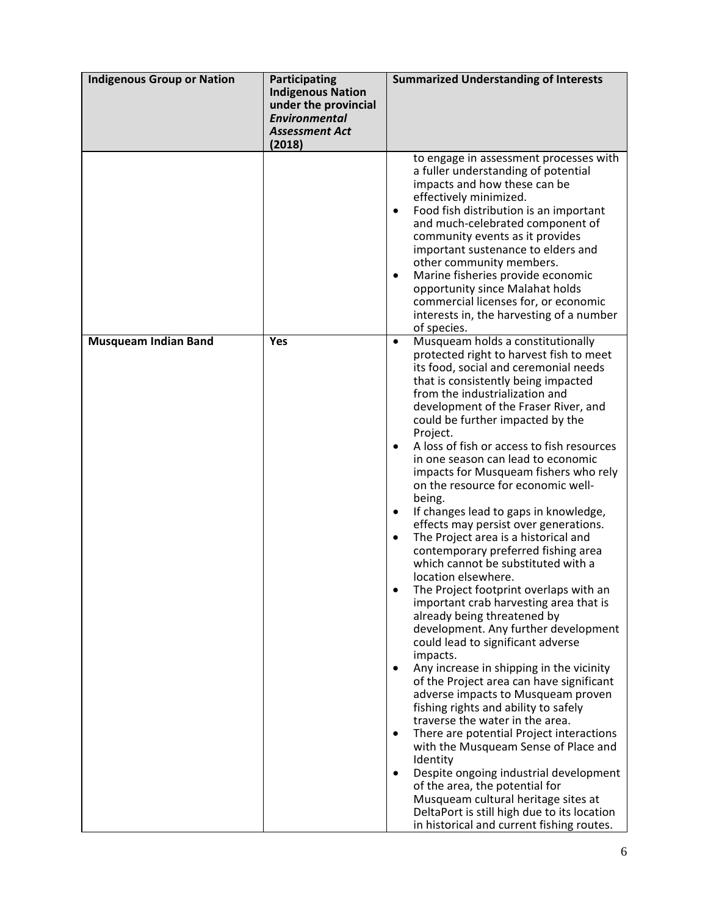| <b>Indigenous Group or Nation</b> | <b>Participating</b><br><b>Indigenous Nation</b><br>under the provincial<br><b>Environmental</b><br><b>Assessment Act</b><br>(2018) | <b>Summarized Understanding of Interests</b>                                                                                                                                                                                                                                                                                                                                                                                                                                                                                                                                                                                                                                                                                                                                                                                                                                                                                                                                                                                                                                                                                                                                                                                                                                                                                                                                                                                                                                              |
|-----------------------------------|-------------------------------------------------------------------------------------------------------------------------------------|-------------------------------------------------------------------------------------------------------------------------------------------------------------------------------------------------------------------------------------------------------------------------------------------------------------------------------------------------------------------------------------------------------------------------------------------------------------------------------------------------------------------------------------------------------------------------------------------------------------------------------------------------------------------------------------------------------------------------------------------------------------------------------------------------------------------------------------------------------------------------------------------------------------------------------------------------------------------------------------------------------------------------------------------------------------------------------------------------------------------------------------------------------------------------------------------------------------------------------------------------------------------------------------------------------------------------------------------------------------------------------------------------------------------------------------------------------------------------------------------|
|                                   |                                                                                                                                     | to engage in assessment processes with<br>a fuller understanding of potential<br>impacts and how these can be<br>effectively minimized.<br>Food fish distribution is an important<br>$\bullet$<br>and much-celebrated component of<br>community events as it provides<br>important sustenance to elders and<br>other community members.<br>Marine fisheries provide economic<br>$\bullet$<br>opportunity since Malahat holds<br>commercial licenses for, or economic<br>interests in, the harvesting of a number<br>of species.                                                                                                                                                                                                                                                                                                                                                                                                                                                                                                                                                                                                                                                                                                                                                                                                                                                                                                                                                           |
| <b>Musqueam Indian Band</b>       | Yes                                                                                                                                 | Musqueam holds a constitutionally<br>$\bullet$<br>protected right to harvest fish to meet<br>its food, social and ceremonial needs<br>that is consistently being impacted<br>from the industrialization and<br>development of the Fraser River, and<br>could be further impacted by the<br>Project.<br>A loss of fish or access to fish resources<br>in one season can lead to economic<br>impacts for Musqueam fishers who rely<br>on the resource for economic well-<br>being.<br>If changes lead to gaps in knowledge,<br>$\bullet$<br>effects may persist over generations.<br>The Project area is a historical and<br>$\bullet$<br>contemporary preferred fishing area<br>which cannot be substituted with a<br>location elsewhere.<br>The Project footprint overlaps with an<br>important crab harvesting area that is<br>already being threatened by<br>development. Any further development<br>could lead to significant adverse<br>impacts.<br>Any increase in shipping in the vicinity<br>of the Project area can have significant<br>adverse impacts to Musqueam proven<br>fishing rights and ability to safely<br>traverse the water in the area.<br>There are potential Project interactions<br>$\bullet$<br>with the Musqueam Sense of Place and<br>Identity<br>Despite ongoing industrial development<br>of the area, the potential for<br>Musqueam cultural heritage sites at<br>DeltaPort is still high due to its location<br>in historical and current fishing routes. |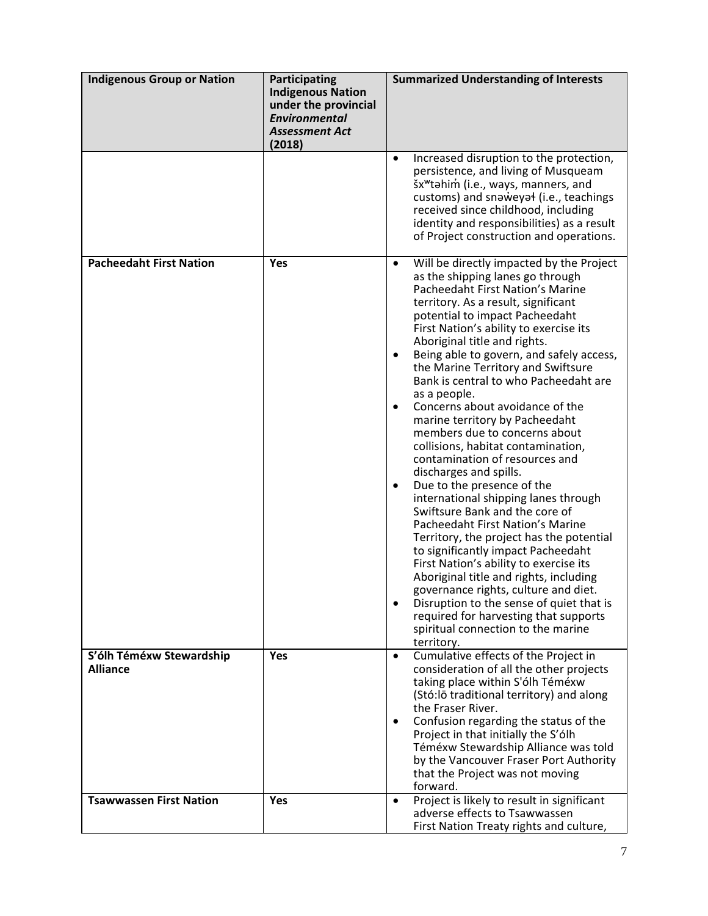| <b>Indigenous Group or Nation</b>           | Participating<br><b>Indigenous Nation</b><br>under the provincial<br><b>Environmental</b><br><b>Assessment Act</b><br>(2018) | <b>Summarized Understanding of Interests</b>                                                                                                                                                                                                                                                                                                                                                                                                                                                                                                                                                                                                                                                                                                                                                                                                                                                                                                                                                                                                                                                                                                                                         |
|---------------------------------------------|------------------------------------------------------------------------------------------------------------------------------|--------------------------------------------------------------------------------------------------------------------------------------------------------------------------------------------------------------------------------------------------------------------------------------------------------------------------------------------------------------------------------------------------------------------------------------------------------------------------------------------------------------------------------------------------------------------------------------------------------------------------------------------------------------------------------------------------------------------------------------------------------------------------------------------------------------------------------------------------------------------------------------------------------------------------------------------------------------------------------------------------------------------------------------------------------------------------------------------------------------------------------------------------------------------------------------|
|                                             |                                                                                                                              | Increased disruption to the protection,<br>$\bullet$<br>persistence, and living of Musqueam<br>šx <sup>w</sup> tahim (i.e., ways, manners, and<br>customs) and snaweyal (i.e., teachings<br>received since childhood, including<br>identity and responsibilities) as a result<br>of Project construction and operations.                                                                                                                                                                                                                                                                                                                                                                                                                                                                                                                                                                                                                                                                                                                                                                                                                                                             |
| <b>Pacheedaht First Nation</b>              | Yes                                                                                                                          | Will be directly impacted by the Project<br>$\bullet$<br>as the shipping lanes go through<br><b>Pacheedaht First Nation's Marine</b><br>territory. As a result, significant<br>potential to impact Pacheedaht<br>First Nation's ability to exercise its<br>Aboriginal title and rights.<br>Being able to govern, and safely access,<br>the Marine Territory and Swiftsure<br>Bank is central to who Pacheedaht are<br>as a people.<br>Concerns about avoidance of the<br>$\bullet$<br>marine territory by Pacheedaht<br>members due to concerns about<br>collisions, habitat contamination,<br>contamination of resources and<br>discharges and spills.<br>Due to the presence of the<br>$\bullet$<br>international shipping lanes through<br>Swiftsure Bank and the core of<br>Pacheedaht First Nation's Marine<br>Territory, the project has the potential<br>to significantly impact Pacheedaht<br>First Nation's ability to exercise its<br>Aboriginal title and rights, including<br>governance rights, culture and diet.<br>Disruption to the sense of quiet that is<br>$\bullet$<br>required for harvesting that supports<br>spiritual connection to the marine<br>territory. |
| S'ólh Téméxw Stewardship<br><b>Alliance</b> | Yes                                                                                                                          | Cumulative effects of the Project in<br>$\bullet$<br>consideration of all the other projects<br>taking place within S'ólh Téméxw<br>(Stó:lō traditional territory) and along<br>the Fraser River.<br>Confusion regarding the status of the<br>$\bullet$<br>Project in that initially the S'ólh<br>Téméxw Stewardship Alliance was told<br>by the Vancouver Fraser Port Authority<br>that the Project was not moving<br>forward.                                                                                                                                                                                                                                                                                                                                                                                                                                                                                                                                                                                                                                                                                                                                                      |
| <b>Tsawwassen First Nation</b>              | Yes                                                                                                                          | Project is likely to result in significant<br>$\bullet$<br>adverse effects to Tsawwassen<br>First Nation Treaty rights and culture,                                                                                                                                                                                                                                                                                                                                                                                                                                                                                                                                                                                                                                                                                                                                                                                                                                                                                                                                                                                                                                                  |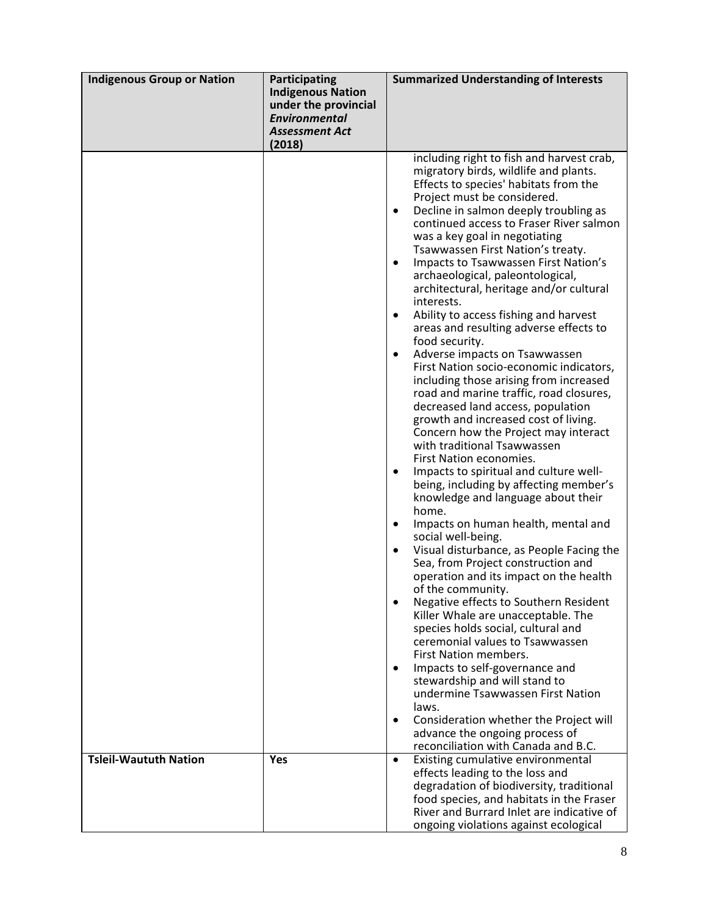| <b>Indigenous Group or Nation</b> | <b>Participating</b><br><b>Indigenous Nation</b><br>under the provincial<br><b>Environmental</b><br><b>Assessment Act</b><br>(2018) | <b>Summarized Understanding of Interests</b>                                                                                                                                                                                                                                                                                                                                                                                                                                                                                                                                                                                                                                                                                                                                                                                                                                                                                                                                                                                                                                                                                                                                                                                                                                                                                                                                                                                                                                                                                                                                                                                                                                                                                                                              |
|-----------------------------------|-------------------------------------------------------------------------------------------------------------------------------------|---------------------------------------------------------------------------------------------------------------------------------------------------------------------------------------------------------------------------------------------------------------------------------------------------------------------------------------------------------------------------------------------------------------------------------------------------------------------------------------------------------------------------------------------------------------------------------------------------------------------------------------------------------------------------------------------------------------------------------------------------------------------------------------------------------------------------------------------------------------------------------------------------------------------------------------------------------------------------------------------------------------------------------------------------------------------------------------------------------------------------------------------------------------------------------------------------------------------------------------------------------------------------------------------------------------------------------------------------------------------------------------------------------------------------------------------------------------------------------------------------------------------------------------------------------------------------------------------------------------------------------------------------------------------------------------------------------------------------------------------------------------------------|
|                                   |                                                                                                                                     | including right to fish and harvest crab,<br>migratory birds, wildlife and plants.<br>Effects to species' habitats from the<br>Project must be considered.<br>Decline in salmon deeply troubling as<br>$\bullet$<br>continued access to Fraser River salmon<br>was a key goal in negotiating<br>Tsawwassen First Nation's treaty.<br>Impacts to Tsawwassen First Nation's<br>archaeological, paleontological,<br>architectural, heritage and/or cultural<br>interests.<br>Ability to access fishing and harvest<br>$\bullet$<br>areas and resulting adverse effects to<br>food security.<br>Adverse impacts on Tsawwassen<br>First Nation socio-economic indicators,<br>including those arising from increased<br>road and marine traffic, road closures,<br>decreased land access, population<br>growth and increased cost of living.<br>Concern how the Project may interact<br>with traditional Tsawwassen<br>First Nation economies.<br>Impacts to spiritual and culture well-<br>$\bullet$<br>being, including by affecting member's<br>knowledge and language about their<br>home.<br>Impacts on human health, mental and<br>$\bullet$<br>social well-being.<br>Visual disturbance, as People Facing the<br>Sea, from Project construction and<br>operation and its impact on the health<br>of the community.<br>Negative effects to Southern Resident<br>Killer Whale are unacceptable. The<br>species holds social, cultural and<br>ceremonial values to Tsawwassen<br><b>First Nation members.</b><br>Impacts to self-governance and<br>$\bullet$<br>stewardship and will stand to<br>undermine Tsawwassen First Nation<br>laws.<br>Consideration whether the Project will<br>$\bullet$<br>advance the ongoing process of<br>reconciliation with Canada and B.C. |
| <b>Tsleil-Waututh Nation</b>      | Yes                                                                                                                                 | Existing cumulative environmental<br>$\bullet$<br>effects leading to the loss and<br>degradation of biodiversity, traditional<br>food species, and habitats in the Fraser<br>River and Burrard Inlet are indicative of<br>ongoing violations against ecological                                                                                                                                                                                                                                                                                                                                                                                                                                                                                                                                                                                                                                                                                                                                                                                                                                                                                                                                                                                                                                                                                                                                                                                                                                                                                                                                                                                                                                                                                                           |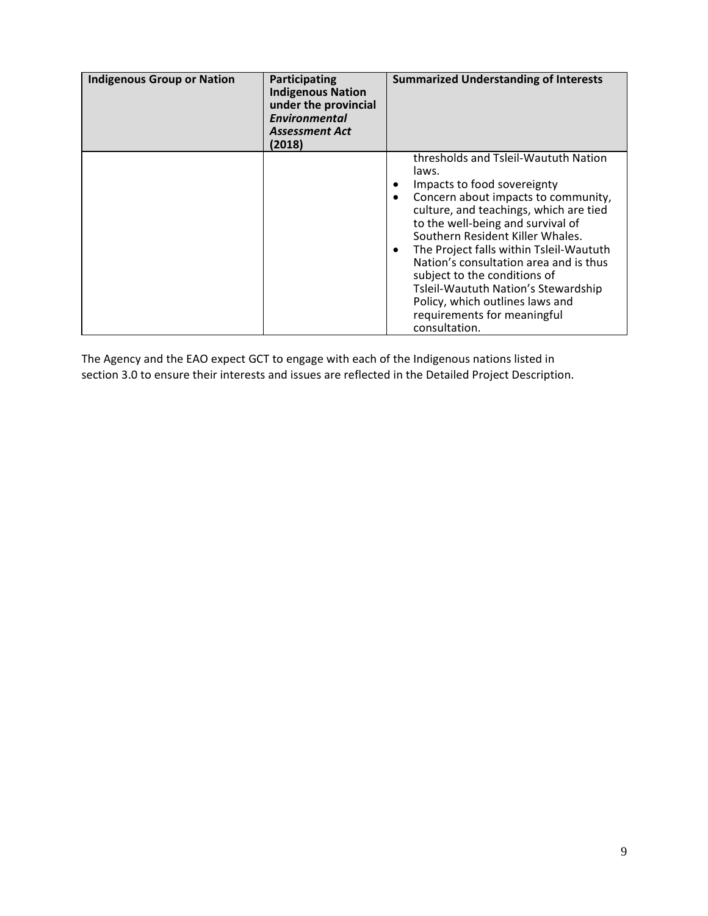| <b>Indigenous Group or Nation</b> | Participating<br><b>Indigenous Nation</b><br>under the provincial<br><b>Environmental</b><br><b>Assessment Act</b><br>(2018) | <b>Summarized Understanding of Interests</b>                                                                                                                                                                                                                                                                                                                                                                                                                                          |
|-----------------------------------|------------------------------------------------------------------------------------------------------------------------------|---------------------------------------------------------------------------------------------------------------------------------------------------------------------------------------------------------------------------------------------------------------------------------------------------------------------------------------------------------------------------------------------------------------------------------------------------------------------------------------|
|                                   |                                                                                                                              | thresholds and Tsleil-Waututh Nation<br>laws.<br>Impacts to food sovereignty<br>Concern about impacts to community,<br>culture, and teachings, which are tied<br>to the well-being and survival of<br>Southern Resident Killer Whales.<br>The Project falls within Tsleil-Waututh<br>Nation's consultation area and is thus<br>subject to the conditions of<br>Tsleil-Waututh Nation's Stewardship<br>Policy, which outlines laws and<br>requirements for meaningful<br>consultation. |

The Agency and the EAO expect GCT to engage with each of the Indigenous nations listed in section 3.0 to ensure their interests and issues are reflected in the Detailed Project Description.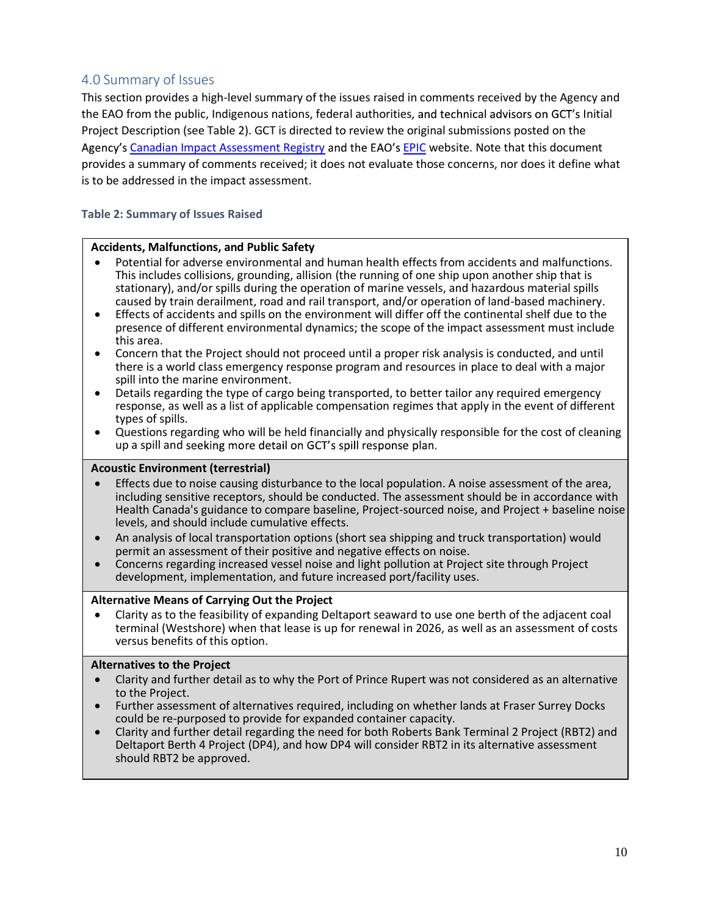## 4.0 Summary of Issues

This section provides a high-level summary of the issues raised in comments received by the Agency and the EAO from the public, Indigenous nations, federal authorities, and technical advisors on GCT's Initial Project Description (see Table 2). GCT is directed to review the original submissions posted on the Agency's Canadian Impact Assessment Registry and the EAO's EPIC website. Note that this document provides a summary of comments received; it does not evaluate those concerns, nor does it define what is to be addressed in the impact assessment.

#### Table 2: Summary of Issues Raised

#### Accidents, Malfunctions, and Public Safety

- Potential for adverse environmental and human health effects from accidents and malfunctions. This includes collisions, grounding, allision (the running of one ship upon another ship that is stationary), and/or spills during the operation of marine vessels, and hazardous material spills caused by train derailment, road and rail transport, and/or operation of land-based machinery.
- ù Effects of accidents and spills on the environment will differ off the continental shelf due to the presence of different environmental dynamics; the scope of the impact assessment must include this area.
- ù Concern that the Project should not proceed until a proper risk analysis is conducted, and until there is a world class emergency response program and resources in place to deal with a major spill into the marine environment.
- Details regarding the type of cargo being transported, to better tailor any required emergency response, as well as a list of applicable compensation regimes that apply in the event of different types of spills.
- ù Questions regarding who will be held financially and physically responsible for the cost of cleaning up a spill and seeking more detail on GCT's spill response plan.

#### Acoustic Environment (terrestrial)

- Effects due to noise causing disturbance to the local population. A noise assessment of the area, including sensitive receptors, should be conducted. The assessment should be in accordance with Health Canada's guidance to compare baseline, Project-sourced noise, and Project + baseline noise levels, and should include cumulative effects.
- ù An analysis of local transportation options (short sea shipping and truck transportation) would permit an assessment of their positive and negative effects on noise.
- ù Concerns regarding increased vessel noise and light pollution at Project site through Project development, implementation, and future increased port/facility uses.

#### Alternative Means of Carrying Out the Project

ù Clarity as to the feasibility of expanding Deltaport seaward to use one berth of the adjacent coal terminal (Westshore) when that lease is up for renewal in 2026, as well as an assessment of costs versus benefits of this option.

#### Alternatives to the Project

- Clarity and further detail as to why the Port of Prince Rupert was not considered as an alternative to the Project.
- ù Further assessment of alternatives required, including on whether lands at Fraser Surrey Docks could be re-purposed to provide for expanded container capacity.
- ù Clarity and further detail regarding the need for both Roberts Bank Terminal 2 Project (RBT2) and Deltaport Berth 4 Project (DP4), and how DP4 will consider RBT2 in its alternative assessment should RBT2 be approved.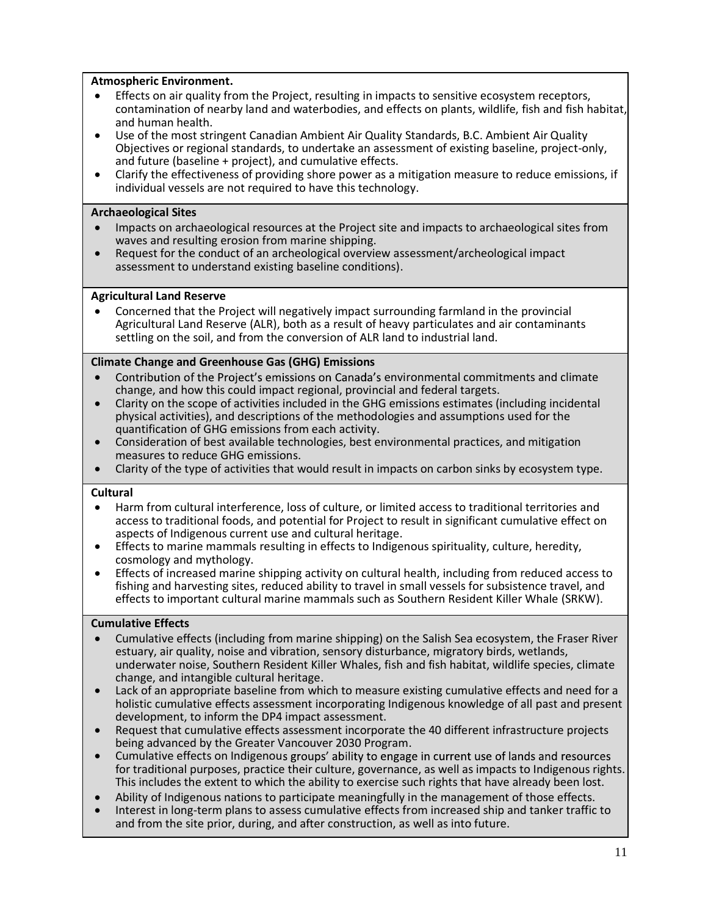#### Atmospheric Environment.

- Effects on air quality from the Project, resulting in impacts to sensitive ecosystem receptors, contamination of nearby land and waterbodies, and effects on plants, wildlife, fish and fish habitat, and human health.
- ù Use of the most stringent Canadian Ambient Air Quality Standards, B.C. Ambient Air Quality Objectives or regional standards, to undertake an assessment of existing baseline, project-only, and future (baseline + project), and cumulative effects.
- ù Clarify the effectiveness of providing shore power as a mitigation measure to reduce emissions, if individual vessels are not required to have this technology.

#### Archaeological Sites

- ù Impacts on archaeological resources at the Project site and impacts to archaeological sites from waves and resulting erosion from marine shipping.
- ù Request for the conduct of an archeological overview assessment/archeological impact assessment to understand existing baseline conditions).

#### Agricultural Land Reserve

ù Concerned that the Project will negatively impact surrounding farmland in the provincial Agricultural Land Reserve (ALR), both as a result of heavy particulates and air contaminants settling on the soil, and from the conversion of ALR land to industrial land.

#### Climate Change and Greenhouse Gas (GHG) Emissions

- Contribution of the Project's emissions on Canada's environmental commitments and climate change, and how this could impact regional, provincial and federal targets.
- ù Clarity on the scope of activities included in the GHG emissions estimates (including incidental physical activities), and descriptions of the methodologies and assumptions used for the quantification of GHG emissions from each activity.
- ù Consideration of best available technologies, best environmental practices, and mitigation measures to reduce GHG emissions.
- ù Clarity of the type of activities that would result in impacts on carbon sinks by ecosystem type.

#### Cultural

- ù Harm from cultural interference, loss of culture, or limited access to traditional territories and access to traditional foods, and potential for Project to result in significant cumulative effect on aspects of Indigenous current use and cultural heritage.
- ù Effects to marine mammals resulting in effects to Indigenous spirituality, culture, heredity, cosmology and mythology.
- Effects of increased marine shipping activity on cultural health, including from reduced access to fishing and harvesting sites, reduced ability to travel in small vessels for subsistence travel, and effects to important cultural marine mammals such as Southern Resident Killer Whale (SRKW).

#### Cumulative Effects

- ù Cumulative effects (including from marine shipping) on the Salish Sea ecosystem, the Fraser River estuary, air quality, noise and vibration, sensory disturbance, migratory birds, wetlands, underwater noise, Southern Resident Killer Whales, fish and fish habitat, wildlife species, climate change, and intangible cultural heritage.
- Lack of an appropriate baseline from which to measure existing cumulative effects and need for a holistic cumulative effects assessment incorporating Indigenous knowledge of all past and present development, to inform the DP4 impact assessment.
- ù Request that cumulative effects assessment incorporate the 40 different infrastructure projects being advanced by the Greater Vancouver 2030 Program.
- Cumulative effects on Indigenous groups' ability to engage in current use of lands and resources for traditional purposes, practice their culture, governance, as well as impacts to Indigenous rights. This includes the extent to which the ability to exercise such rights that have already been lost.
- ù Ability of Indigenous nations to participate meaningfully in the management of those effects.
- Interest in long-term plans to assess cumulative effects from increased ship and tanker traffic to and from the site prior, during, and after construction, as well as into future.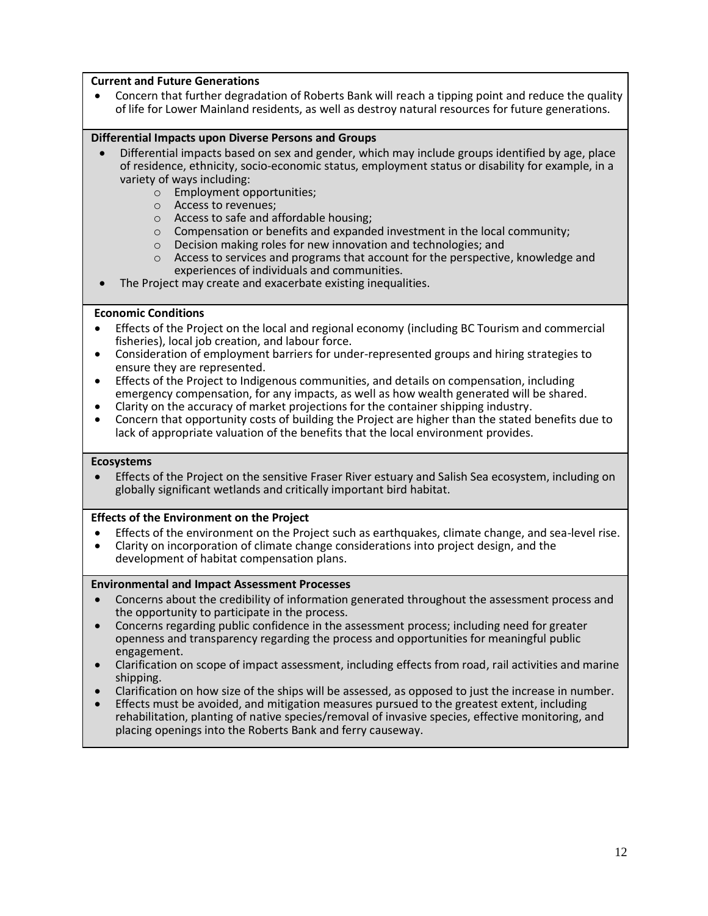#### Current and Future Generations

ù Concern that further degradation of Roberts Bank will reach a tipping point and reduce the quality of life for Lower Mainland residents, as well as destroy natural resources for future generations.

#### Differential Impacts upon Diverse Persons and Groups

- ù Differential impacts based on sex and gender, which may include groups identified by age, place of residence, ethnicity, socio-economic status, employment status or disability for example, in a variety of ways including:
	- o Employment opportunities;
	- o Access to revenues;
	- o Access to safe and affordable housing;
	- o Compensation or benefits and expanded investment in the local community;
	- o Decision making roles for new innovation and technologies; and
	- $\circ$  Access to services and programs that account for the perspective, knowledge and experiences of individuals and communities.
- The Project may create and exacerbate existing inequalities.

#### Economic Conditions

- ù Effects of the Project on the local and regional economy (including BC Tourism and commercial fisheries), local job creation, and labour force.
- ù Consideration of employment barriers for under-represented groups and hiring strategies to ensure they are represented.
- ù Effects of the Project to Indigenous communities, and details on compensation, including emergency compensation, for any impacts, as well as how wealth generated will be shared.
- ù Clarity on the accuracy of market projections for the container shipping industry.
- ù Concern that opportunity costs of building the Project are higher than the stated benefits due to lack of appropriate valuation of the benefits that the local environment provides.

#### Ecosystems

ù Effects of the Project on the sensitive Fraser River estuary and Salish Sea ecosystem, including on globally significant wetlands and critically important bird habitat.

#### Effects of the Environment on the Project

- ù Effects of the environment on the Project such as earthquakes, climate change, and sea-level rise.
- ù Clarity on incorporation of climate change considerations into project design, and the development of habitat compensation plans.

#### Environmental and Impact Assessment Processes

- ù Concerns about the credibility of information generated throughout the assessment process and the opportunity to participate in the process.
- ù Concerns regarding public confidence in the assessment process; including need for greater openness and transparency regarding the process and opportunities for meaningful public engagement.
- ù Clarification on scope of impact assessment, including effects from road, rail activities and marine shipping.
- ù Clarification on how size of the ships will be assessed, as opposed to just the increase in number.
- Effects must be avoided, and mitigation measures pursued to the greatest extent, including rehabilitation, planting of native species/removal of invasive species, effective monitoring, and placing openings into the Roberts Bank and ferry causeway.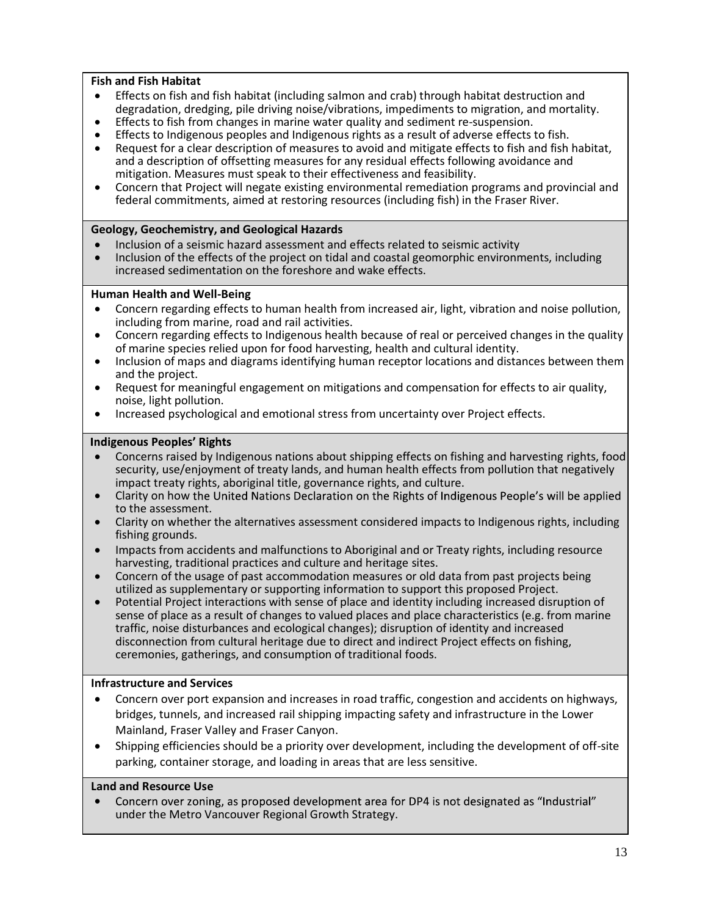#### Fish and Fish Habitat

- ù Effects on fish and fish habitat (including salmon and crab) through habitat destruction and degradation, dredging, pile driving noise/vibrations, impediments to migration, and mortality.
- Effects to fish from changes in marine water quality and sediment re-suspension.
- Effects to Indigenous peoples and Indigenous rights as a result of adverse effects to fish.
- ù Request for a clear description of measures to avoid and mitigate effects to fish and fish habitat, and a description of offsetting measures for any residual effects following avoidance and mitigation. Measures must speak to their effectiveness and feasibility.
- ù Concern that Project will negate existing environmental remediation programs and provincial and federal commitments, aimed at restoring resources (including fish) in the Fraser River.

#### Geology, Geochemistry, and Geological Hazards

- ù Inclusion of a seismic hazard assessment and effects related to seismic activity
- ù Inclusion of the effects of the project on tidal and coastal geomorphic environments, including increased sedimentation on the foreshore and wake effects.

#### Human Health and Well-Being

- ù Concern regarding effects to human health from increased air, light, vibration and noise pollution, including from marine, road and rail activities.
- ù Concern regarding effects to Indigenous health because of real or perceived changes in the quality of marine species relied upon for food harvesting, health and cultural identity.
- ù Inclusion of maps and diagrams identifying human receptor locations and distances between them and the project.
- Request for meaningful engagement on mitigations and compensation for effects to air quality, noise, light pollution.
- Increased psychological and emotional stress from uncertainty over Project effects.

#### **Indigenous Peoples' Rights**

- ù Concerns raised by Indigenous nations about shipping effects on fishing and harvesting rights, food security, use/enjoyment of treaty lands, and human health effects from pollution that negatively impact treaty rights, aboriginal title, governance rights, and culture.
- Clarity on how the United Nations Declaration on the Rights of Indigenous People's will be applied to the assessment.
- ù Clarity on whether the alternatives assessment considered impacts to Indigenous rights, including fishing grounds.
- Impacts from accidents and malfunctions to Aboriginal and or Treaty rights, including resource harvesting, traditional practices and culture and heritage sites.
- Concern of the usage of past accommodation measures or old data from past projects being utilized as supplementary or supporting information to support this proposed Project.
- Potential Project interactions with sense of place and identity including increased disruption of sense of place as a result of changes to valued places and place characteristics (e.g. from marine traffic, noise disturbances and ecological changes); disruption of identity and increased disconnection from cultural heritage due to direct and indirect Project effects on fishing, ceremonies, gatherings, and consumption of traditional foods.

#### Infrastructure and Services

- ù Concern over port expansion and increases in road traffic, congestion and accidents on highways, bridges, tunnels, and increased rail shipping impacting safety and infrastructure in the Lower Mainland, Fraser Valley and Fraser Canyon.
- ù Shipping efficiencies should be a priority over development, including the development of off-site parking, container storage, and loading in areas that are less sensitive.

#### Land and Resource Use

ù Concern over zoning, as proposed development area for DP4 is not designated as "Industrial" under the Metro Vancouver Regional Growth Strategy.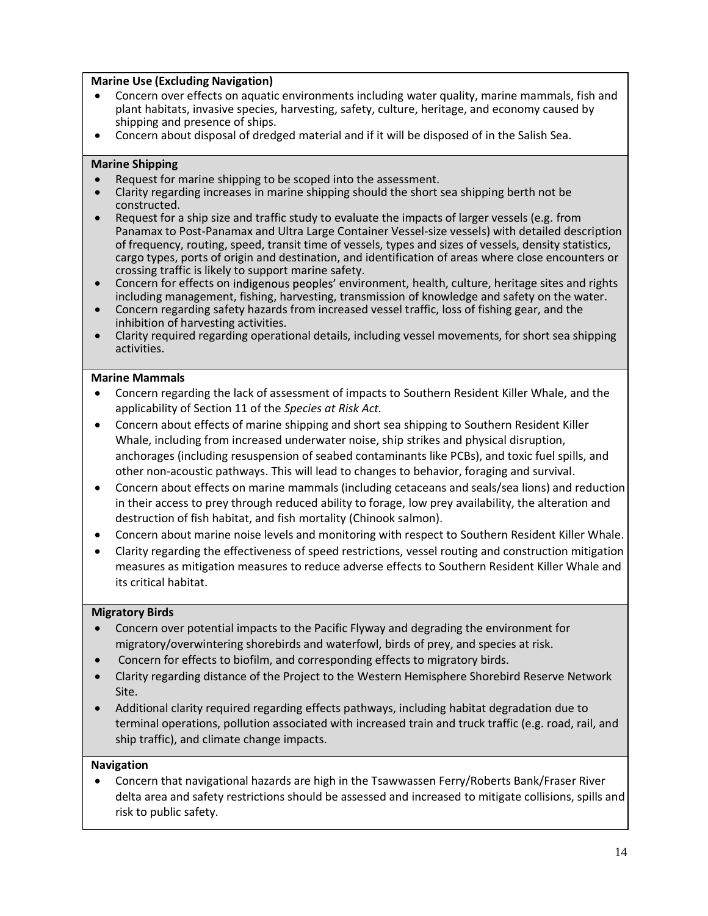#### Marine Use (Excluding Navigation)

- ù Concern over effects on aquatic environments including water quality, marine mammals, fish and plant habitats, invasive species, harvesting, safety, culture, heritage, and economy caused by shipping and presence of ships.
- ù Concern about disposal of dredged material and if it will be disposed of in the Salish Sea.

#### Marine Shipping

- ù Request for marine shipping to be scoped into the assessment.
- ù Clarity regarding increases in marine shipping should the short sea shipping berth not be constructed.
- Request for a ship size and traffic study to evaluate the impacts of larger vessels (e.g. from Panamax to Post-Panamax and Ultra Large Container Vessel-size vessels) with detailed description of frequency, routing, speed, transit time of vessels, types and sizes of vessels, density statistics, cargo types, ports of origin and destination, and identification of areas where close encounters or crossing traffic is likely to support marine safety.
- Concern for effects on indigenous peoples' environment, health, culture, heritage sites and rights including management, fishing, harvesting, transmission of knowledge and safety on the water.
- ù Concern regarding safety hazards from increased vessel traffic, loss of fishing gear, and the inhibition of harvesting activities.
- ù Clarity required regarding operational details, including vessel movements, for short sea shipping activities.

#### Marine Mammals

- ù Concern regarding the lack of assessment of impacts to Southern Resident Killer Whale, and the applicability of Section 11 of the Species at Risk Act.
- ù Concern about effects of marine shipping and short sea shipping to Southern Resident Killer Whale, including from increased underwater noise, ship strikes and physical disruption, anchorages (including resuspension of seabed contaminants like PCBs), and toxic fuel spills, and other non-acoustic pathways. This will lead to changes to behavior, foraging and survival.
- ù Concern about effects on marine mammals (including cetaceans and seals/sea lions) and reduction in their access to prey through reduced ability to forage, low prey availability, the alteration and destruction of fish habitat, and fish mortality (Chinook salmon).
- ù Concern about marine noise levels and monitoring with respect to Southern Resident Killer Whale.
- ù Clarity regarding the effectiveness of speed restrictions, vessel routing and construction mitigation measures as mitigation measures to reduce adverse effects to Southern Resident Killer Whale and its critical habitat.

#### Migratory Birds

- ù Concern over potential impacts to the Pacific Flyway and degrading the environment for migratory/overwintering shorebirds and waterfowl, birds of prey, and species at risk.
- ù Concern for effects to biofilm, and corresponding effects to migratory birds.
- ù Clarity regarding distance of the Project to the Western Hemisphere Shorebird Reserve Network Site.
- ù Additional clarity required regarding effects pathways, including habitat degradation due to terminal operations, pollution associated with increased train and truck traffic (e.g. road, rail, and ship traffic), and climate change impacts.

#### Navigation

ù Concern that navigational hazards are high in the Tsawwassen Ferry/Roberts Bank/Fraser River delta area and safety restrictions should be assessed and increased to mitigate collisions, spills and risk to public safety.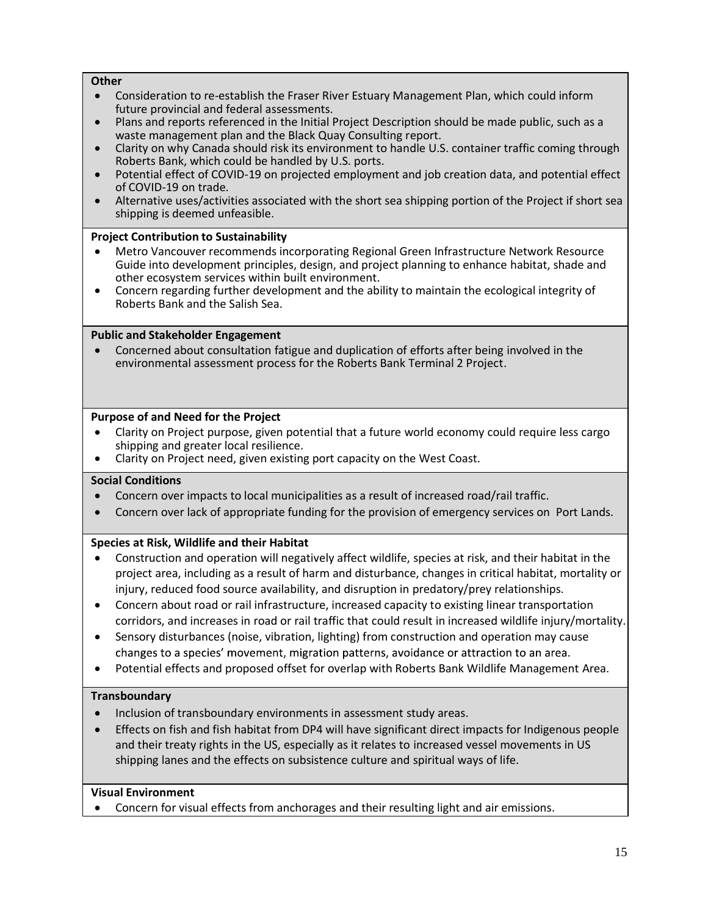#### **Other**

- ù Consideration to re-establish the Fraser River Estuary Management Plan, which could inform future provincial and federal assessments.
- ù Plans and reports referenced in the Initial Project Description should be made public, such as a waste management plan and the Black Quay Consulting report.
- ù Clarity on why Canada should risk its environment to handle U.S. container traffic coming through Roberts Bank, which could be handled by U.S. ports.
- Potential effect of COVID-19 on projected employment and job creation data, and potential effect of COVID-19 on trade.
- ù Alternative uses/activities associated with the short sea shipping portion of the Project if short sea shipping is deemed unfeasible.

#### Project Contribution to Sustainability

- ù Metro Vancouver recommends incorporating Regional Green Infrastructure Network Resource Guide into development principles, design, and project planning to enhance habitat, shade and other ecosystem services within built environment.
- ù Concern regarding further development and the ability to maintain the ecological integrity of Roberts Bank and the Salish Sea.

#### Public and Stakeholder Engagement

ù Concerned about consultation fatigue and duplication of efforts after being involved in the environmental assessment process for the Roberts Bank Terminal 2 Project.

#### Purpose of and Need for the Project

- ù Clarity on Project purpose, given potential that a future world economy could require less cargo shipping and greater local resilience.
- ù Clarity on Project need, given existing port capacity on the West Coast.

#### Social Conditions

- ù Concern over impacts to local municipalities as a result of increased road/rail traffic.
- Concern over lack of appropriate funding for the provision of emergency services on Port Lands.

#### Species at Risk, Wildlife and their Habitat

- ù Construction and operation will negatively affect wildlife, species at risk, and their habitat in the project area, including as a result of harm and disturbance, changes in critical habitat, mortality or injury, reduced food source availability, and disruption in predatory/prey relationships.
- ù Concern about road or rail infrastructure, increased capacity to existing linear transportation corridors, and increases in road or rail traffic that could result in increased wildlife injury/mortality.
- Sensory disturbances (noise, vibration, lighting) from construction and operation may cause changes to a species' movement, migration patterns, avoidance or attraction to an area.
- ù Potential effects and proposed offset for overlap with Roberts Bank Wildlife Management Area.

#### **Transboundary**

- Inclusion of transboundary environments in assessment study areas.
- ù Effects on fish and fish habitat from DP4 will have significant direct impacts for Indigenous people and their treaty rights in the US, especially as it relates to increased vessel movements in US shipping lanes and the effects on subsistence culture and spiritual ways of life.

#### Visual Environment

Concern for visual effects from anchorages and their resulting light and air emissions.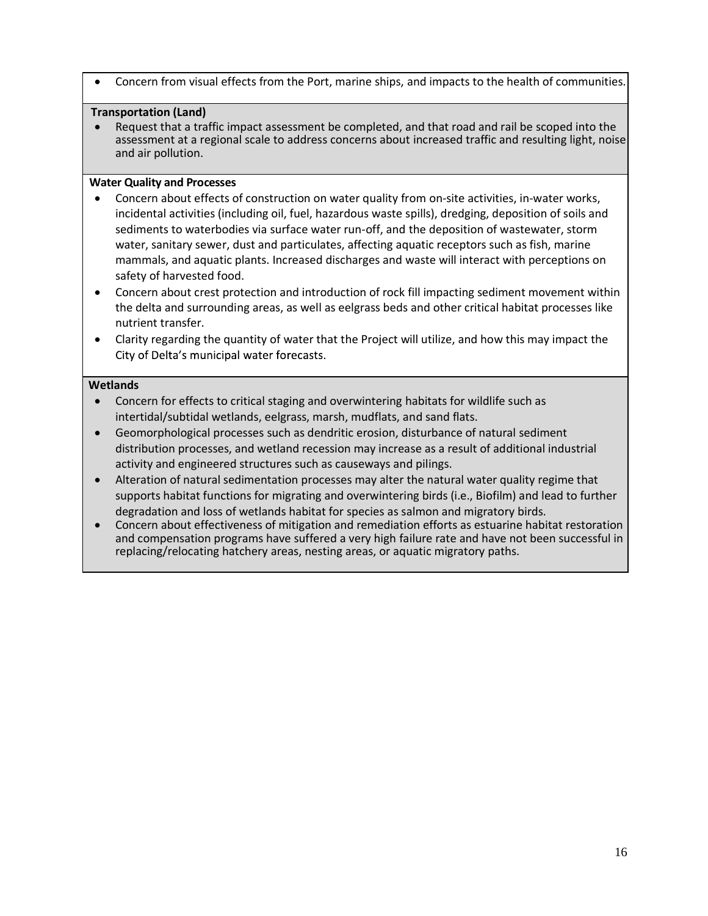Concern from visual effects from the Port, marine ships, and impacts to the health of communities.

#### Transportation (Land)

ù Request that a traffic impact assessment be completed, and that road and rail be scoped into the assessment at a regional scale to address concerns about increased traffic and resulting light, noise and air pollution.

#### Water Quality and Processes

- ù Concern about effects of construction on water quality from on-site activities, in-water works, incidental activities (including oil, fuel, hazardous waste spills), dredging, deposition of soils and sediments to waterbodies via surface water run-off, and the deposition of wastewater, storm water, sanitary sewer, dust and particulates, affecting aquatic receptors such as fish, marine mammals, and aquatic plants. Increased discharges and waste will interact with perceptions on safety of harvested food.
- ù Concern about crest protection and introduction of rock fill impacting sediment movement within the delta and surrounding areas, as well as eelgrass beds and other critical habitat processes like nutrient transfer.
- ù Clarity regarding the quantity of water that the Project will utilize, and how this may impact the City of Delta's municipal water forecasts.

#### **Wetlands**

- ù Concern for effects to critical staging and overwintering habitats for wildlife such as intertidal/subtidal wetlands, eelgrass, marsh, mudflats, and sand flats.
- ù Geomorphological processes such as dendritic erosion, disturbance of natural sediment distribution processes, and wetland recession may increase as a result of additional industrial activity and engineered structures such as causeways and pilings.
- ù Alteration of natural sedimentation processes may alter the natural water quality regime that supports habitat functions for migrating and overwintering birds (i.e., Biofilm) and lead to further degradation and loss of wetlands habitat for species as salmon and migratory birds.
- ù Concern about effectiveness of mitigation and remediation efforts as estuarine habitat restoration and compensation programs have suffered a very high failure rate and have not been successful in replacing/relocating hatchery areas, nesting areas, or aquatic migratory paths.